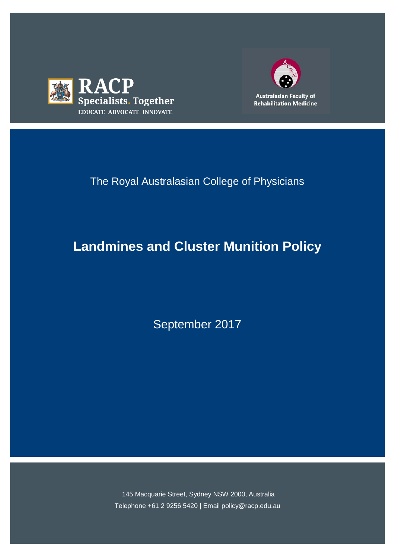



# The Royal Australasian College of Physicians

# **Landmines and Cluster Munition Policy**

September 2017

145 Macquarie Street, Sydney NSW 2000, Australia Telephone +61 2 9256 5420 | Email policy@racp.edu.au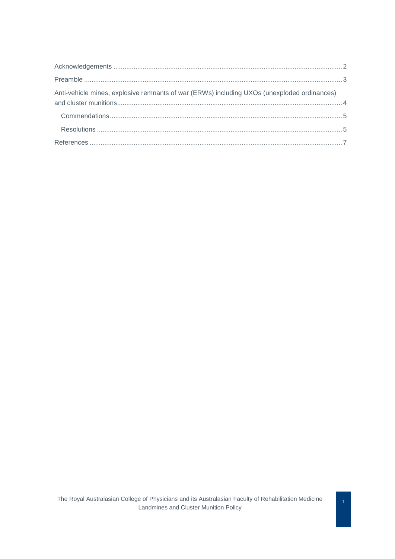| Anti-vehicle mines, explosive remnants of war (ERWs) including UXOs (unexploded ordinances) |  |
|---------------------------------------------------------------------------------------------|--|
|                                                                                             |  |
|                                                                                             |  |
|                                                                                             |  |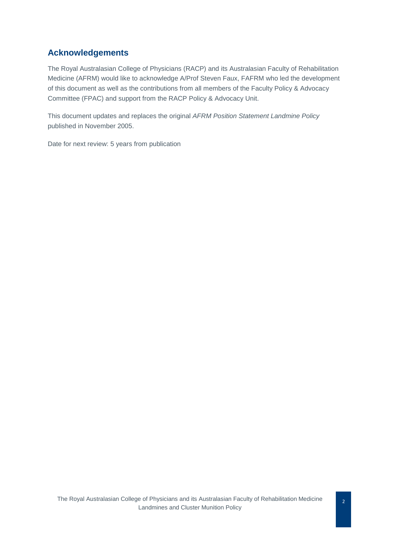#### <span id="page-2-0"></span>**Acknowledgements**

The Royal Australasian College of Physicians (RACP) and its Australasian Faculty of Rehabilitation Medicine (AFRM) would like to acknowledge A/Prof Steven Faux, FAFRM who led the development of this document as well as the contributions from all members of the Faculty Policy & Advocacy Committee (FPAC) and support from the RACP Policy & Advocacy Unit.

This document updates and replaces the original *AFRM Position Statement Landmine Policy*  published in November 2005.

Date for next review: 5 years from publication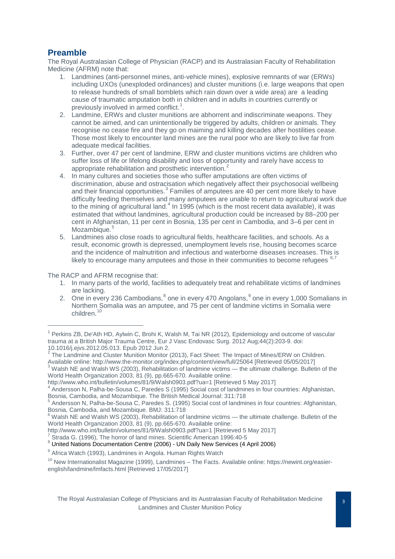### <span id="page-3-0"></span>**Preamble**

The Royal Australasian College of Physician (RACP) and its Australasian Faculty of Rehabilitation Medicine (AFRM) note that:

- 1. Landmines (anti-personnel mines, anti-vehicle mines), explosive remnants of war (ERWs) including UXOs (unexploded ordinances) and cluster munitions (i.e. large weapons that open to release hundreds of small bomblets which rain down over a wide area) are a leading cause of traumatic amputation both in children and in adults in countries currently or previously involved in armed conflict. $<sup>1</sup>$  $<sup>1</sup>$  $<sup>1</sup>$ .</sup>
- 2. Landmine, ERWs and cluster munitions are abhorrent and indiscriminate weapons. They cannot be aimed, and can unintentionally be triggered by adults, children or animals. They recognise no cease fire and they go on maiming and killing decades after hostilities cease. Those most likely to encounter land mines are the rural poor who are likely to live far from adequate medical facilities.
- 3. Further, over 47 per cent of landmine, ERW and cluster munitions victims are children who suffer loss of life or lifelong disability and loss of opportunity and rarely have access to appropriate rehabilitation and prosthetic intervention.<sup>[2](#page-3-2)</sup>
- 4. In many cultures and societies those who suffer amputations are often victims of discrimination, abuse and ostracisation which negatively affect their psychosocial wellbeing and their financial opportunities.<sup>[3](#page-3-3)</sup> Families of amputees are 40 per cent more likely to have difficulty feeding themselves and many amputees are unable to return to agricultural work due to the mining of agricultural land.<sup>[4](#page-3-4)</sup> In 1995 (which is the most recent data available), it was estimated that without landmines, agricultural production could be increased by 88–200 per cent in Afghanistan, 11 per cent in Bosnia, 135 per cent in Cambodia, and 3–6 per cent in Mozambique.<sup>[5](#page-3-5)</sup>
- 5. Landmines also close roads to agricultural fields, healthcare facilities, and schools. As a result, economic growth is depressed, unemployment levels rise, housing becomes scarce and the incidence of malnutrition and infectious and waterborne diseases increases. This is likely to encourage many amputees and those in their communities to become refugees

The RACP and AFRM recognise that:

 $\overline{a}$ 

- 1. In many parts of the world, facilities to adequately treat and rehabilitate victims of landmines are lacking.
- 2. One in every 236 Cambodians, $^8$  $^8$  one in every 470 Angolans, $^9$  $^9$  one in every 1,000 Somalians in Northern Somalia was an amputee, and 75 per cent of landmine victims in Somalia were children.<sup>[10](#page-3-10)</sup>

<span id="page-3-1"></span><sup>1</sup> Perkins ZB, De'Ath HD, Aylwin C, Brohi K, Walsh M, Tai NR (2012), Epidemiology and outcome of vascular trauma at a British Major Trauma Centre, [Eur J Vasc Endovasc Surg.](https://www.ncbi.nlm.nih.gov/pubmed/22658774) 2012 Aug;44(2):203-9. doi: 10.1016/j.ejvs.2012.05.013. Epub 2012 Jun 2.

 $2$  The Landmine and Cluster Munition Monitor (2013), Fact Sheet: The Impact of Mines/ERW on Children.

<span id="page-3-2"></span>Available online: http://www.the-monitor.org/index.php/content/view/full/25064 [Retrieved 05/05/2017]<br><sup>3</sup> Walsh NE and Walsh WS (2003), Rehabilitation of landmine victims — the ultimate challenge. Bulletin of the

<span id="page-3-3"></span>World Health Organization 2003, 81 (9), pp.665-670. Available online:<br>http://www.who.int/bulletin/volumes/81/9/Walsh0903.pdf?ua=1 [Retrieved 5 May 2017]

<span id="page-3-4"></span><sup>&</sup>lt;sup>4</sup> Andersson N, Palha-be-Sousa C, Paredes S (1995) Social cost of landmines in four countries: Afghanistan, Bosnia, Cambodia, and Mozambique. The British Medical Journal: 311:718

<span id="page-3-5"></span> $^5$  Andersson N, Palha-be-Sousa C, Paredes S. (1995) Social cost of landmines in four countries: Afghanistan, Bosnia, Cambodia, and Mozambique. BMJ: 311:718

<span id="page-3-6"></span> $6$  Walsh NE and Walsh WS (2003), Rehabilitation of landmine victims — the ultimate challenge. Bulletin of the World Health Organization 2003, 81 (9), pp.665-670. Available online:<br>http://www.who.int/bulletin/volumes/81/9/Walsh0903.pdf?ua=1 [Retrieved 5 May 2017]

<span id="page-3-8"></span><span id="page-3-7"></span> $\degree$  Strada G. (1996), The horror of land mines. Scientific American 1996:40-5<br> $\degree$  United Nations Documentation Centre (2006) - UN Daily New Services (4 April 2006)

<span id="page-3-9"></span><sup>&</sup>lt;sup>9</sup> Africa Watch (1993), Landmines in Angola. Human Rights Watch

<span id="page-3-10"></span><sup>&</sup>lt;sup>10</sup> New Internationalist Magazine (1999), Landmines – The Facts. Available online: https://newint.org/easierenglish/landmine/lmfacts.html [Retrieved 17/05/2017]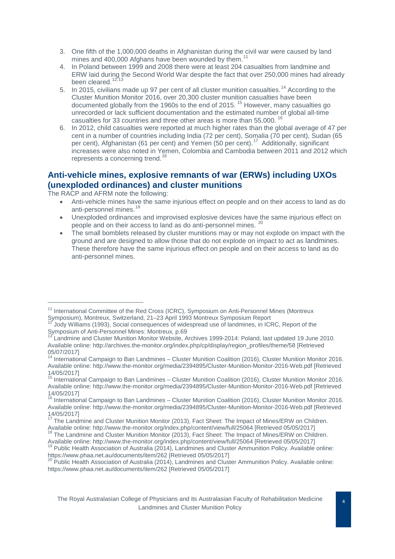- 3. One fifth of the 1,000,000 deaths in Afghanistan during the civil war were caused by land mines and 400,000 Afghans have been wounded by them.<sup>[11](#page-4-1)</sup>
- 4. In Poland between 1999 and 2008 there were at least 204 casualties from landmine and ERW laid during the Second World War despite the fact that over 250,000 mines had already been cleared.<sup>[12](#page-4-2),[13](#page-4-3)</sup>
- 5. In 2015, civilians made up 97 per cent of all cluster munition casualties.<sup>[14](#page-4-4)</sup> According to the Cluster Munition Monitor 2016, over 20,300 cluster munition casualties have been documented globally from the 1960s to the end of 20[15](#page-4-5).<sup>15</sup> However, many casualties go unrecorded or lack sufficient documentation and the estimated number of global all-time casualties for 33 countries and three other areas is more than 55,000. [16](#page-4-6)
- 6. In 2012, child casualties were reported at much higher rates than the global average of 47 per cent in a number of countries including India (72 per cent), Somalia (70 per cent), Sudan (65 per cent), Afghanistan (61 per cent) and Yemen (50 per cent).<sup>[17](#page-4-7)</sup> Additionally, significant increases were also noted in Yemen, Colombia and Cambodia between 2011 and 2012 which represents a concerning trend.<sup>1</sup>

#### <span id="page-4-0"></span>**Anti-vehicle mines, explosive remnants of war (ERWs) including UXOs (unexploded ordinances) and cluster munitions**

The RACP and AFRM note the following:

 $\overline{a}$ 

- Anti-vehicle mines have the same injurious effect on people and on their access to land as do anti-personnel mines.<sup>1</sup>
- Unexploded ordinances and improvised explosive devices have the same injurious effect on people and on their access to land as do anti-personnel mines. [20](#page-4-10)
- The small bomblets released by cluster munitions may or may not explode on impact with the ground and are designed to allow those that do not explode on impact to act as landmines. These therefore have the same injurious effect on people and on their access to land as do anti-personnel mines.

<span id="page-4-1"></span><sup>&</sup>lt;sup>11</sup> International Committee of the Red Cross (ICRC), Symposium on Anti-Personnel Mines (Montreux<br>Symposium), Montreux, Switzerland, 21–23 April 1993 Montreux Symposium Report

<span id="page-4-2"></span><sup>&</sup>lt;sup>12</sup> Jody Williams (1993), Social consequences of widespread use of landmines, in ICRC, Report of the Symposium of Anti-Personnel Mines: Montreux, p.69

<span id="page-4-3"></span>Landmine and Cluster Munition Monitor Website, Archives 1999-2014: Poland, last updated 19 June 2010. Available online: http://archives.the-monitor.org/index.php/cp/display/region\_profiles/theme/58 [Retrieved 05/07/2017]

<span id="page-4-4"></span><sup>14</sup> International Campaign to Ban Landmines – Cluster Munition Coalition (2016), Cluster Munition Monitor 2016. Available online: http://www.the-monitor.org/media/2394895/Cluster-Munition-Monitor-2016-Web.pdf [Retrieved 14/05/2017]

<span id="page-4-5"></span><sup>&</sup>lt;sup>15</sup> International Campaign to Ban Landmines – Cluster Munition Coalition (2016), Cluster Munition Monitor 2016. Available online: http://www.the-monitor.org/media/2394895/Cluster-Munition-Monitor-2016-Web.pdf [Retrieved 14/05/2017]

<span id="page-4-6"></span><sup>&</sup>lt;sup>16</sup> International Campaign to Ban Landmines – Cluster Munition Coalition (2016), Cluster Munition Monitor 2016. Available online: http://www.the-monitor.org/media/2394895/Cluster-Munition-Monitor-2016-Web.pdf [Retrieved 14/05/2017]

<sup>&</sup>lt;sup>17</sup> The Landmine and Cluster Munition Monitor (2013), Fact Sheet: The Impact of Mines/ERW on Children.

<span id="page-4-8"></span><span id="page-4-7"></span>Available online: http://www.the-monitor.org/index.php/content/view/full/25064 [Retrieved 05/05/2017]<br><sup>18</sup> The Landmine and Cluster Munition Monitor (2013), Fact Sheet: The Impact of Mines/ERW on Children.<br>Available online

<span id="page-4-9"></span><sup>&</sup>lt;sup>19</sup> Public Health Association of Australia (2014), Landmines and Cluster Ammunition Policy. Available online:<br>https://www.phaa.net.au/documents/item/262 [Retrieved 05/05/2017]

<span id="page-4-10"></span><sup>&</sup>lt;sup>20</sup> Public Health Association of Australia (2014), Landmines and Cluster Ammunition Policy. Available online: https://www.phaa.net.au/documents/item/262 [Retrieved 05/05/2017]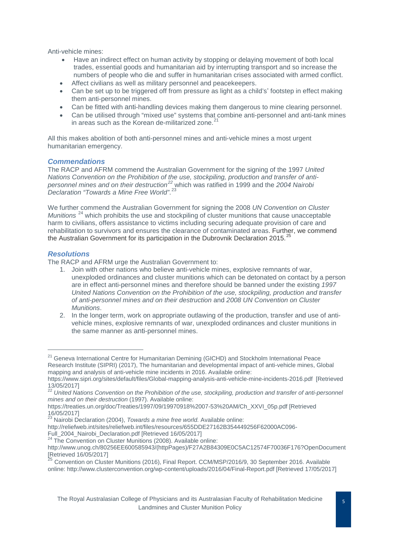Anti-vehicle mines:

- Have an indirect effect on human activity by stopping or delaying movement of both local trades, essential goods and humanitarian aid by interrupting transport and so increase the numbers of people who die and suffer in humanitarian crises associated with armed conflict.
- Affect civilians as well as military personnel and peacekeepers.
- Can be set up to be triggered off from pressure as light as a child's' footstep in effect making them anti-personnel mines.
- Can be fitted with anti-handling devices making them dangerous to mine clearing personnel.
- Can be utilised through "mixed use" systems that combine anti-personnel and anti-tank mines in areas such as the Korean de-militarized zone. $^{21}$  $^{21}$  $^{21}$

All this makes abolition of both anti-personnel mines and anti-vehicle mines a most urgent humanitarian emergency.

#### <span id="page-5-0"></span>*Commendations*

The RACP and AFRM commend the Australian Government for the signing of the 1997 *United Nations Convention on the Prohibition of the use, stockpiling, production and transfer of antipersonnel mines and on their destruction[22](#page-5-3)* which was ratified in 1999 and the *2004 Nairobi Declaration "Towards a Mine Free World"*. [23](#page-5-4)

We further commend the Australian Government for signing the 2008 *UN Convention on Cluster Munitions*<sup>[24](#page-5-5)</sup> which prohibits the use and stockpiling of cluster munitions that cause unacceptable harm to civilians, offers assistance to victims including securing adequate provision of care and rehabilitation to survivors and ensures the clearance of contaminated areas. Further, we commend the Australian Government for its participation in the Dubrovnik Declaration 2015.<sup>[25](#page-5-6)</sup>

#### <span id="page-5-1"></span>*Resolutions*

-

The RACP and AFRM urge the Australian Government to:

- 1. Join with other nations who believe anti-vehicle mines, explosive remnants of war, unexploded ordinances and cluster munitions which can be detonated on contact by a person are in effect anti-personnel mines and therefore should be banned under the existing *1997 United Nations Convention on the Prohibition of the use, stockpiling, production and transfer of anti-personnel mines and on their destruction* and *2008 UN Convention on Cluster Munitions*.
- 2. In the longer term, work on appropriate outlawing of the production, transfer and use of antivehicle mines, explosive remnants of war, unexploded ordinances and cluster munitions in the same manner as anti-personnel mines.

<span id="page-5-2"></span><sup>&</sup>lt;sup>21</sup> Geneva International Centre for Humanitarian Demining (GICHD) and Stockholm International Peace Research Institute (SIPRI) (2017), The humanitarian and developmental impact of anti-vehicle mines, Global mapping and analysis of anti-vehicle mine incidents in 2016. Available online:

https://www.sipri.org/sites/default/files/Global-mapping-analysis-anti-vehicle-mine-incidents-2016.pdf [Retrieved

<span id="page-5-3"></span><sup>13/05/2017]&</sup>lt;br><sup>22</sup> United Nations Convention on the Prohibition of the use, stockpiling, production and transfer of anti-personnel *mines and on their destruction* (1997). Available online:

https://treaties.un.org/doc/Treaties/1997/09/19970918%2007-53%20AM/Ch\_XXVI\_05p.pdf [Retrieved

<sup>16/05/2017]</sup> <sup>23</sup> Nairobi Declaration (2004), *Towards a mine free world.* Available online:

<span id="page-5-4"></span>http://reliefweb.int/sites/reliefweb.int/files/resources/655DDE27162B354449256F62000AC096-<br>Full 2004 Nairobi Declaration.pdf [Retrieved 16/05/2017]

<sup>&</sup>lt;sup>24</sup> The Convention on Cluster Munitions (2008). Available online:

<span id="page-5-5"></span>http://www.unog.ch/80256EE600585943/(httpPages)/F27A2B84309E0C5AC12574F70036F176?OpenDocument [Retrieved 16/05/2017]

<span id="page-5-6"></span><sup>&</sup>lt;sup>25</sup> Convention on Cluster Munitions (2016), Final Report. CCM/MSP/2016/9, 30 September 2016. Available online: http://www.clusterconvention.org/wp-content/uploads/2016/04/Final-Report.pdf [Retrieved 17/05/2017]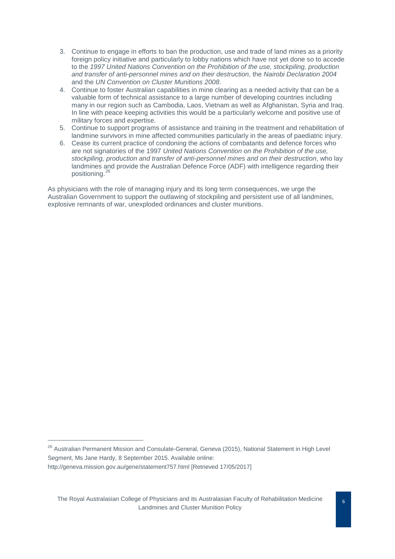- 3. Continue to engage in efforts to ban the production, use and trade of land mines as a priority foreign policy initiative and particularly to lobby nations which have not yet done so to accede to the *1997 United Nations Convention on the Prohibition of the use, stockpiling, production and transfer of anti-personnel mines and on their destruction*, the *Nairobi Declaration 2004* and the *UN Convention on Cluster Munitions 2008.*
- 4. Continue to foster Australian capabilities in mine clearing as a needed activity that can be a valuable form of technical assistance to a large number of developing countries including many in our region such as Cambodia, Laos, Vietnam as well as Afghanistan, Syria and Iraq. In line with peace keeping activities this would be a particularly welcome and positive use of military forces and expertise.
- 5. Continue to support programs of assistance and training in the treatment and rehabilitation of landmine survivors in mine affected communities particularly in the areas of paediatric injury.
- 6. Cease its current practice of condoning the actions of combatants and defence forces who are not signatories of the 1997 *United Nations Convention on the Prohibition of the use, stockpiling, production and transfer of anti-personnel mines and on their destruction*, who lay landmines and provide the Australian Defence Force (ADF) with intelligence regarding their positioning.[26](#page-6-0)

As physicians with the role of managing injury and its long term consequences, we urge the Australian Government to support the outlawing of stockpiling and persistent use of all landmines, explosive remnants of war, unexploded ordinances and cluster munitions.

 $\overline{a}$ 

<span id="page-6-0"></span><sup>&</sup>lt;sup>26</sup> Australian Permanent Mission and Consulate-General, Geneva (2015), National Statement in High Level Segment, Ms Jane Hardy, 8 September 2015. Available online: http://geneva.mission.gov.au/gene/statement757.html [Retrieved 17/05/2017]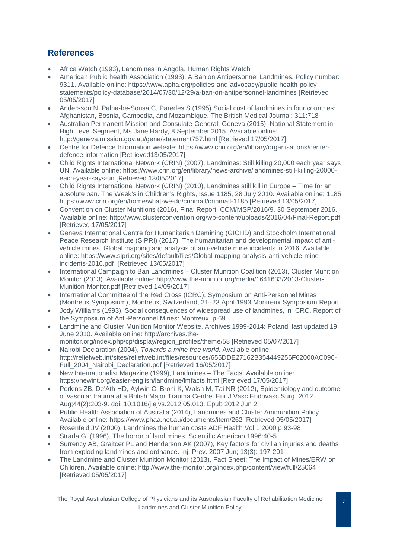## <span id="page-7-0"></span>**References**

- Africa Watch (1993), Landmines in Angola. Human Rights Watch
- American Public health Association (1993), A Ban on Antipersonnel Landmines. Policy number: 9311. Available online: https://www.apha.org/policies-and-advocacy/public-health-policystatements/policy-database/2014/07/30/12/29/a-ban-on-antipersonnel-landmines [Retrieved 05/05/2017]
- Andersson N, Palha-be-Sousa C, Paredes S (1995) Social cost of landmines in four countries: Afghanistan, Bosnia, Cambodia, and Mozambique. The British Medical Journal: 311:718
- Australian Permanent Mission and Consulate-General, Geneva (2015), National Statement in High Level Segment, Ms Jane Hardy, 8 September 2015. Available online: http://geneva.mission.gov.au/gene/statement757.html [Retrieved 17/05/2017]
- Centre for Defence Information website: https://www.crin.org/en/library/organisations/centerdefence-information [Retrieved13/05/2017]
- Child Rights International Network (CRIN) (2007), Landmines: Still killing 20,000 each year says UN. Available online: https://www.crin.org/en/library/news-archive/landmines-still-killing-20000 each-year-says-un [Retrieved 13/05/2017]
- Child Rights International Network (CRIN) (2010), Landmines still kill in Europe Time for an absolute ban. The Week's in Children's Rights, Issue 1185, 28 July 2010. Available online: 1185 https://www.crin.org/en/home/what-we-do/crinmail/crinmail-1185 [Retrieved 13/05/2017]
- Convention on Cluster Munitions (2016), Final Report. CCM/MSP/2016/9, 30 September 2016. Available online: http://www.clusterconvention.org/wp-content/uploads/2016/04/Final-Report.pdf [Retrieved 17/05/2017]
- Geneva International Centre for Humanitarian Demining (GICHD) and Stockholm International Peace Research Institute (SIPRI) (2017), The humanitarian and developmental impact of antivehicle mines, Global mapping and analysis of anti-vehicle mine incidents in 2016. Available online: https://www.sipri.org/sites/default/files/Global-mapping-analysis-anti-vehicle-mineincidents-2016.pdf [Retrieved 13/05/2017]
- International Campaign to Ban Landmines Cluster Munition Coalition (2013), Cluster Munition Monitor (2013). Available online: http://www.the-monitor.org/media/1641633/2013-Cluster-Munition-Monitor.pdf [Retrieved 14/05/2017]
- International Committee of the Red Cross (ICRC), Symposium on Anti-Personnel Mines (Montreux Symposium), Montreux, Switzerland, 21–23 April 1993 Montreux Symposium Report
- Jody Williams (1993), Social consequences of widespread use of landmines, in ICRC, Report of the Symposium of Anti-Personnel Mines: Montreux, p.69
- Landmine and Cluster Munition Monitor Website, Archives 1999-2014: Poland, last updated 19 June 2010. Available online: http://archives.themonitor.org/index.php/cp/display/region\_profiles/theme/58 [Retrieved 05/07/2017]
- Nairobi Declaration (2004), *Towards a mine free world.* Available online: http://reliefweb.int/sites/reliefweb.int/files/resources/655DDE27162B354449256F62000AC096- Full\_2004\_Nairobi\_Declaration.pdf [Retrieved 16/05/2017]
- New Internationalist Magazine (1999), Landmines The Facts. Available online: https://newint.org/easier-english/landmine/lmfacts.html [Retrieved 17/05/2017]
- Perkins ZB, De'Ath HD, Aylwin C, Brohi K, Walsh M, Tai NR (2012), Epidemiology and outcome of vascular trauma at a British Major Trauma Centre, Eur J Vasc Endovasc Surg. 2012 Aug;44(2):203-9. doi: 10.1016/j.ejvs.2012.05.013. Epub 2012 Jun 2.
- Public Health Association of Australia (2014), Landmines and Cluster Ammunition Policy. Available online: https://www.phaa.net.au/documents/item/262 [Retrieved 05/05/2017]
- Rosenfeld JV (2000), Landmines the human costs ADF Health Vol 1 2000 p 93-98
- Strada G. (1996), The horror of land mines. Scientific American 1996:40-5
- Surrency AB, Graitcer PL and Henderson AK (2007), Key factors for civilian injuries and deaths from exploding landmines and ordnance. Inj. Prev. 2007 Jun; 13(3): 197-201
- The Landmine and Cluster Munition Monitor (2013), Fact Sheet: The Impact of Mines/ERW on Children. Available online: http://www.the-monitor.org/index.php/content/view/full/25064 [Retrieved 05/05/2017]

The Royal Australasian College of Physicians and its Australasian Faculty of Rehabilitation Medicine Landmines and Cluster Munition Policy